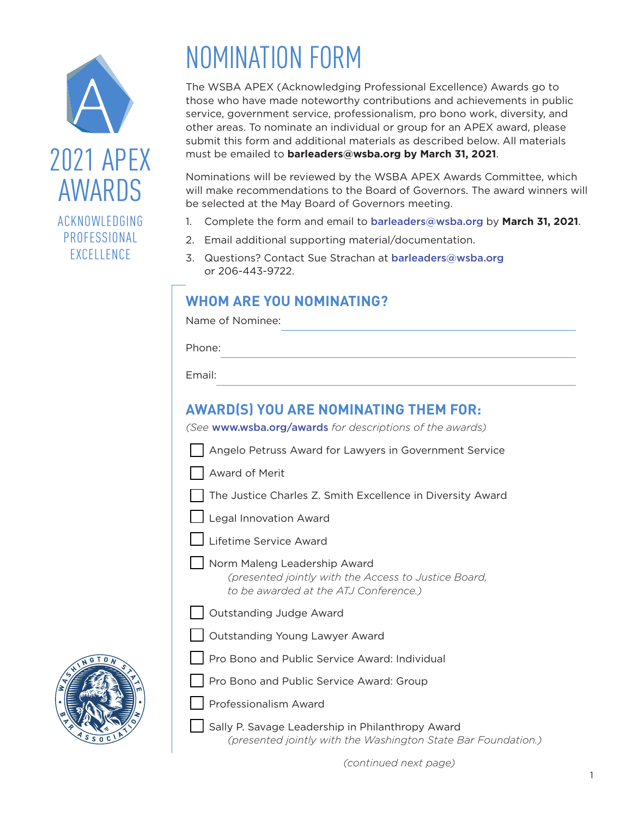

# ACKNOWLEDGING PROFESSIONAL **EXCELLENCE**

# NOMINATION FORM

The WSBA APEX (Acknowledging Professional Excellence) Awards go to those who have made noteworthy contributions and achievements in public service, government service, professionalism, pro bono work, diversity, and other areas. To nominate an individual or group for an APEX award, please submit this form and additional materials as described below. All materials must be emailed to **[barleaders@wsba.org](mailto:barleaders@wsba.org) by March 31, 2021**.

Nominations will be reviewed by the WSBA APEX Awards Committee, which will make recommendations to the Board of Governors. The award winners will be selected at the May Board of Governors meeting.

- 1. Complete the form and email to [barleaders@wsba.org](mailto:barleaders@wsba.org) by **March 31, 2021**.
- 2. Email additional supporting material/documentation.
- 3. Questions? Contact Sue Strachan at [barleaders@wsba.org](mailto:barleaders@wsba.org) or 206-443-9722.

# **WHOM ARE YOU NOMINATING?**

Name of Nominee:

Phone:

Email:

# **AWARD(S) YOU ARE NOMINATING THEM FOR:**

*(See* [www.wsba.org/awards](http://www.wsba.org/awards) *for descriptions of the awards)*

|  |  |  | Angelo Petruss Award for Lawyers in Government Service |  |
|--|--|--|--------------------------------------------------------|--|
|  |  |  |                                                        |  |

Award of Merit

The Justice Charles Z. Smith Excellence in Diversity Award



- Lifetime Service Award
- Norm Maleng Leadership Award *(presented jointly with the Access to Justice Board, to be awarded at the ATJ Conference.)*
- Outstanding Judge Award
- Outstanding Young Lawyer Award
- Pro Bono and Public Service Award: Individual
- Pro Bono and Public Service Award: Group
- Professionalism Award
	- Sally P. Savage Leadership in Philanthropy Award *(presented jointly with the Washington State Bar Foundation.)*

*(continued next page)*